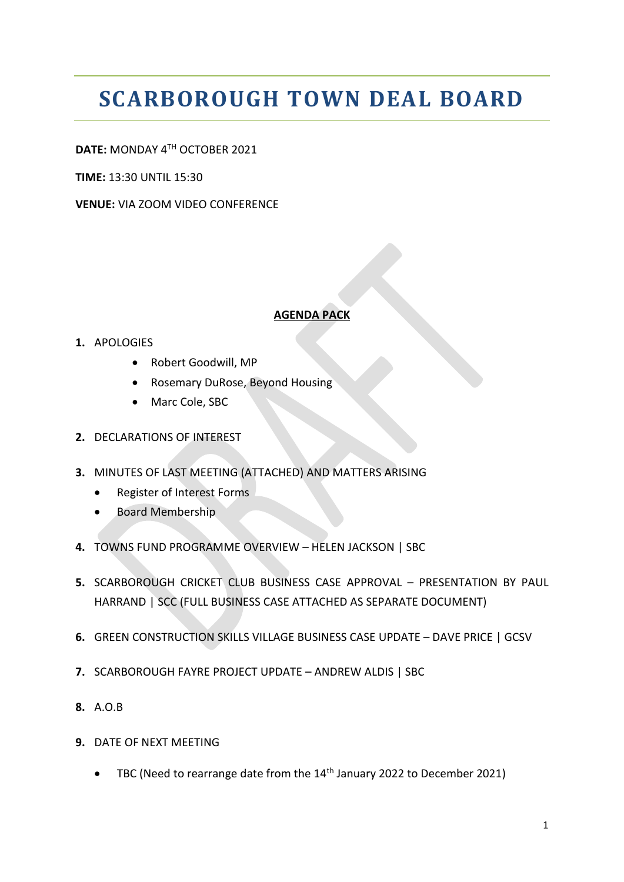# **SCARBOROUGH TOWN DEAL BOARD**

**DATE:** MONDAY 4TH OCTOBER 2021

**TIME:** 13:30 UNTIL 15:30

**VENUE:** VIA ZOOM VIDEO CONFERENCE

#### **AGENDA PACK**

#### **1.** APOLOGIES

- Robert Goodwill, MP
- Rosemary DuRose, Beyond Housing
- Marc Cole, SBC
- **2.** DECLARATIONS OF INTEREST
- **3.** MINUTES OF LAST MEETING (ATTACHED) AND MATTERS ARISING
	- Register of Interest Forms
	- Board Membership
- **4.** TOWNS FUND PROGRAMME OVERVIEW HELEN JACKSON | SBC
- **5.** SCARBOROUGH CRICKET CLUB BUSINESS CASE APPROVAL PRESENTATION BY PAUL HARRAND | SCC (FULL BUSINESS CASE ATTACHED AS SEPARATE DOCUMENT)
- **6.** GREEN CONSTRUCTION SKILLS VILLAGE BUSINESS CASE UPDATE DAVE PRICE | GCSV
- **7.** SCARBOROUGH FAYRE PROJECT UPDATE ANDREW ALDIS | SBC
- **8.** A.O.B
- **9.** DATE OF NEXT MEETING
	- TBC (Need to rearrange date from the 14<sup>th</sup> January 2022 to December 2021)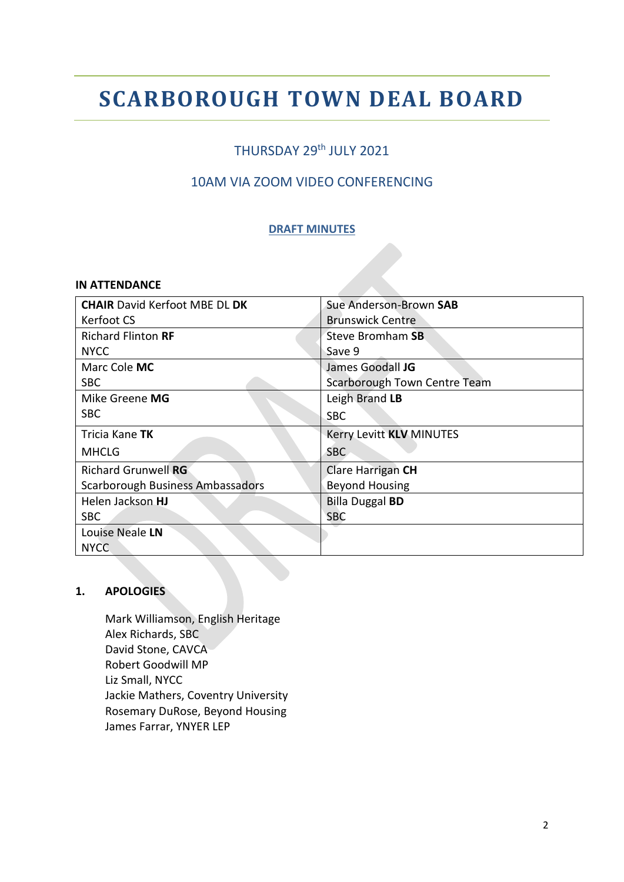## **SCARBOROUGH TOWN DEAL BOARD**

### THURSDAY 29<sup>th</sup> JULY 2021

### 10AM VIA ZOOM VIDEO CONFERENCING

#### **DRAFT MINUTES**

#### **IN ATTENDANCE**

| <b>CHAIR David Kerfoot MBE DL DK</b>    | Sue Anderson-Brown SAB       |
|-----------------------------------------|------------------------------|
| Kerfoot CS                              | <b>Brunswick Centre</b>      |
| <b>Richard Flinton RF</b>               | Steve Bromham SB             |
| <b>NYCC</b>                             | Save 9                       |
| Marc Cole MC                            | James Goodall JG             |
| <b>SBC</b>                              | Scarborough Town Centre Team |
| Mike Greene MG                          | Leigh Brand LB               |
| <b>SBC</b>                              | <b>SBC</b>                   |
| Tricia Kane TK                          | Kerry Levitt KLV MINUTES     |
| <b>MHCLG</b>                            | <b>SBC</b>                   |
| Richard Grunwell RG                     | Clare Harrigan CH            |
| <b>Scarborough Business Ambassadors</b> | <b>Beyond Housing</b>        |
| Helen Jackson HJ                        | <b>Billa Duggal BD</b>       |
| <b>SBC</b>                              | <b>SBC</b>                   |
| Louise Neale LN                         |                              |
| <b>NYCC</b>                             |                              |
|                                         |                              |

#### **1. APOLOGIES**

Mark Williamson, English Heritage Alex Richards, SBC David Stone, CAVCA Robert Goodwill MP Liz Small, NYCC Jackie Mathers, Coventry University Rosemary DuRose, Beyond Housing James Farrar, YNYER LEP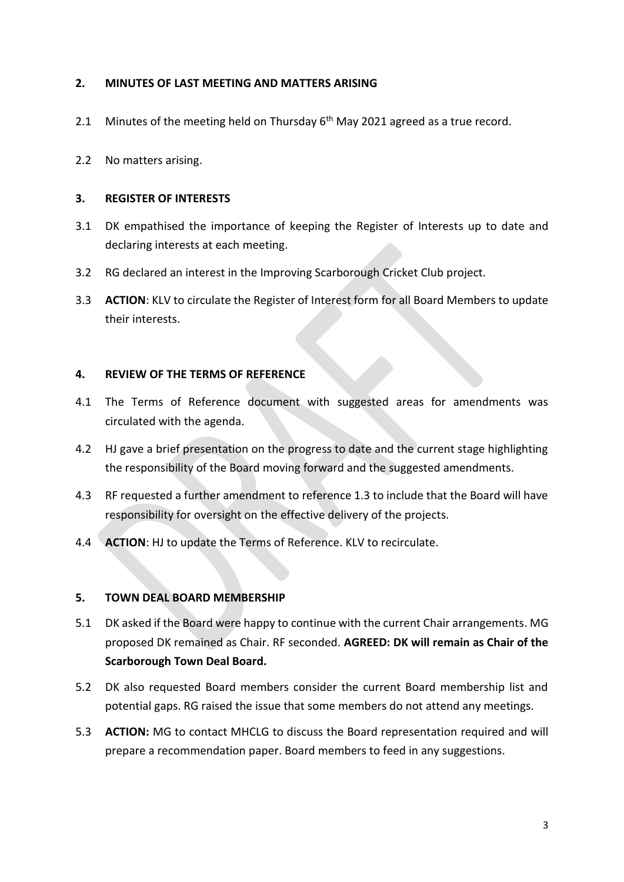#### **2. MINUTES OF LAST MEETING AND MATTERS ARISING**

- 2.1 Minutes of the meeting held on Thursday  $6<sup>th</sup>$  May 2021 agreed as a true record.
- 2.2 No matters arising.

#### **3. REGISTER OF INTERESTS**

- 3.1 DK empathised the importance of keeping the Register of Interests up to date and declaring interests at each meeting.
- 3.2 RG declared an interest in the Improving Scarborough Cricket Club project.
- 3.3 **ACTION**: KLV to circulate the Register of Interest form for all Board Members to update their interests.

#### **4. REVIEW OF THE TERMS OF REFERENCE**

- 4.1 The Terms of Reference document with suggested areas for amendments was circulated with the agenda.
- 4.2 HJ gave a brief presentation on the progress to date and the current stage highlighting the responsibility of the Board moving forward and the suggested amendments.
- 4.3 RF requested a further amendment to reference 1.3 to include that the Board will have responsibility for oversight on the effective delivery of the projects.
- 4.4 **ACTION**: HJ to update the Terms of Reference. KLV to recirculate.

#### **5. TOWN DEAL BOARD MEMBERSHIP**

- 5.1 DK asked if the Board were happy to continue with the current Chair arrangements. MG proposed DK remained as Chair. RF seconded. **AGREED: DK will remain as Chair of the Scarborough Town Deal Board.**
- 5.2 DK also requested Board members consider the current Board membership list and potential gaps. RG raised the issue that some members do not attend any meetings.
- 5.3 **ACTION:** MG to contact MHCLG to discuss the Board representation required and will prepare a recommendation paper. Board members to feed in any suggestions.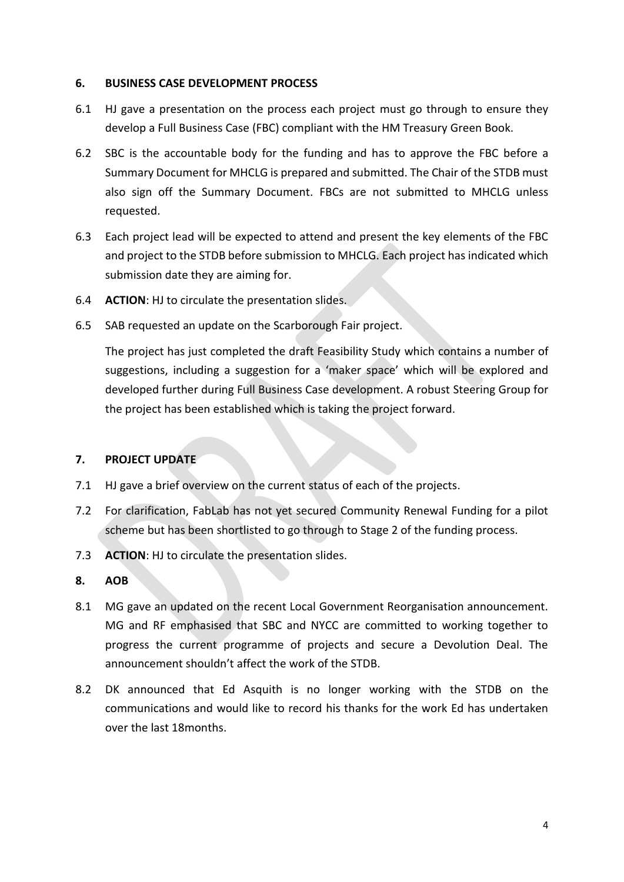#### **6. BUSINESS CASE DEVELOPMENT PROCESS**

- 6.1 HJ gave a presentation on the process each project must go through to ensure they develop a Full Business Case (FBC) compliant with the HM Treasury Green Book.
- 6.2 SBC is the accountable body for the funding and has to approve the FBC before a Summary Document for MHCLG is prepared and submitted. The Chair of the STDB must also sign off the Summary Document. FBCs are not submitted to MHCLG unless requested.
- 6.3 Each project lead will be expected to attend and present the key elements of the FBC and project to the STDB before submission to MHCLG. Each project has indicated which submission date they are aiming for.
- 6.4 **ACTION**: HJ to circulate the presentation slides.
- 6.5 SAB requested an update on the Scarborough Fair project.

The project has just completed the draft Feasibility Study which contains a number of suggestions, including a suggestion for a 'maker space' which will be explored and developed further during Full Business Case development. A robust Steering Group for the project has been established which is taking the project forward.

#### **7. PROJECT UPDATE**

- 7.1 HJ gave a brief overview on the current status of each of the projects.
- 7.2 For clarification, FabLab has not yet secured Community Renewal Funding for a pilot scheme but has been shortlisted to go through to Stage 2 of the funding process.
- 7.3 **ACTION**: HJ to circulate the presentation slides.

#### **8. AOB**

- 8.1 MG gave an updated on the recent Local Government Reorganisation announcement. MG and RF emphasised that SBC and NYCC are committed to working together to progress the current programme of projects and secure a Devolution Deal. The announcement shouldn't affect the work of the STDB.
- 8.2 DK announced that Ed Asquith is no longer working with the STDB on the communications and would like to record his thanks for the work Ed has undertaken over the last 18months.